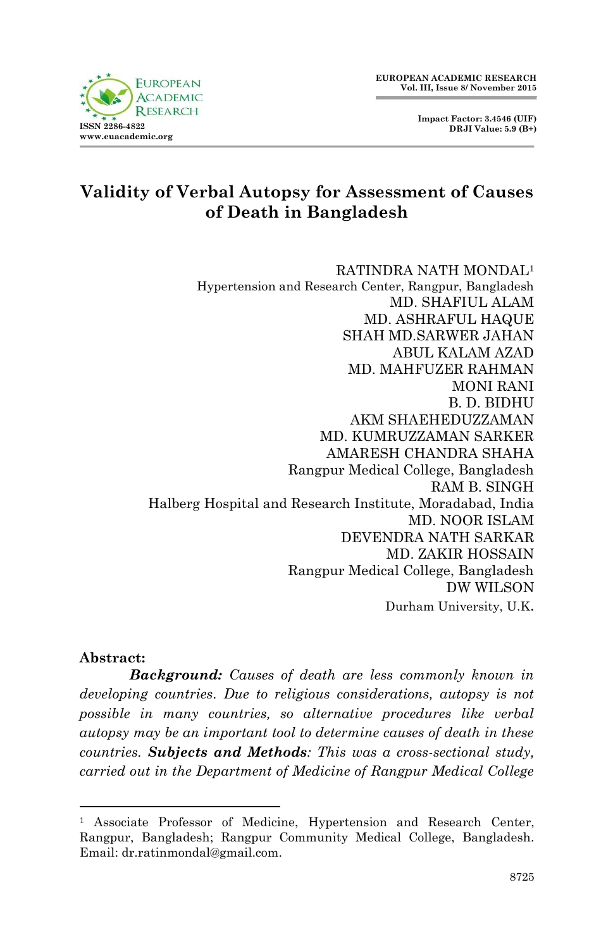**Impact Factor: 3.4546 (UIF) DRJI Value: 5.9 (B+)**



# **Validity of Verbal Autopsy for Assessment of Causes of Death in Bangladesh**

RATINDRA NATH MONDAL<sup>1</sup> Hypertension and Research Center, Rangpur, Bangladesh MD. SHAFIUL ALAM MD. ASHRAFUL HAQUE SHAH MD.SARWER JAHAN ABUL KALAM AZAD MD. MAHFUZER RAHMAN MONI RANI B. D. BIDHU AKM SHAEHEDUZZAMAN MD. KUMRUZZAMAN SARKER AMARESH CHANDRA SHAHA Rangpur Medical College, Bangladesh RAM B. SINGH Halberg Hospital and Research Institute, Moradabad, India MD. NOOR ISLAM DEVENDRA NATH SARKAR MD. ZAKIR HOSSAIN Rangpur Medical College, Bangladesh DW WILSON Durham University, U.K.

#### **Abstract:**

**.** 

*Background: Causes of death are less commonly known in developing countries. Due to religious considerations, autopsy is not possible in many countries, so alternative procedures like verbal autopsy may be an important tool to determine causes of death in these countries. Subjects and Methods: This was a cross-sectional study, carried out in the Department of Medicine of Rangpur Medical College* 

<sup>&</sup>lt;sup>1</sup> Associate Professor of Medicine, Hypertension and Research Center, Rangpur, Bangladesh; Rangpur Community Medical College, Bangladesh. Email: dr.ratinmondal@gmail.com.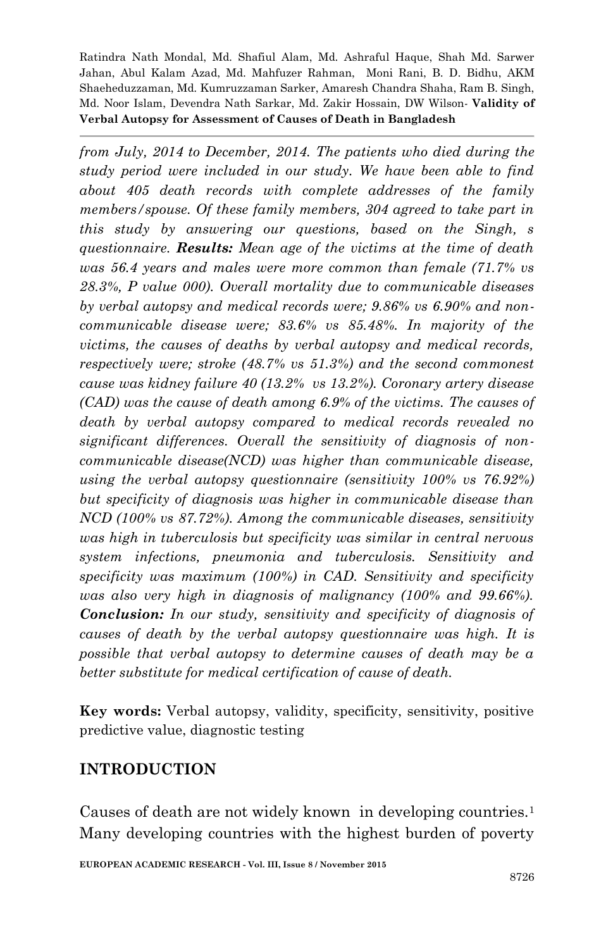*from July, 2014 to December, 2014. The patients who died during the study period were included in our study. We have been able to find about 405 death records with complete addresses of the family members/spouse. Of these family members, 304 agreed to take part in this study by answering our questions, based on the Singh, s questionnaire. Results: Mean age of the victims at the time of death was 56.4 years and males were more common than female (71.7% vs 28.3%, P value 000). Overall mortality due to communicable diseases by verbal autopsy and medical records were; 9.86% vs 6.90% and noncommunicable disease were; 83.6% vs 85.48%. In majority of the victims, the causes of deaths by verbal autopsy and medical records, respectively were; stroke (48.7% vs 51.3%) and the second commonest cause was kidney failure 40 (13.2% vs 13.2%). Coronary artery disease (CAD) was the cause of death among 6.9% of the victims. The causes of death by verbal autopsy compared to medical records revealed no significant differences. Overall the sensitivity of diagnosis of noncommunicable disease(NCD) was higher than communicable disease, using the verbal autopsy questionnaire (sensitivity 100% vs 76.92%) but specificity of diagnosis was higher in communicable disease than NCD (100% vs 87.72%). Among the communicable diseases, sensitivity was high in tuberculosis but specificity was similar in central nervous system infections, pneumonia and tuberculosis. Sensitivity and specificity was maximum (100%) in CAD. Sensitivity and specificity was also very high in diagnosis of malignancy (100% and 99.66%). Conclusion: In our study, sensitivity and specificity of diagnosis of causes of death by the verbal autopsy questionnaire was high. It is possible that verbal autopsy to determine causes of death may be a better substitute for medical certification of cause of death.*

**Key words:** Verbal autopsy, validity, specificity, sensitivity, positive predictive value, diagnostic testing

#### **INTRODUCTION**

Causes of death are not widely known in developing countries.<sup>1</sup> Many developing countries with the highest burden of poverty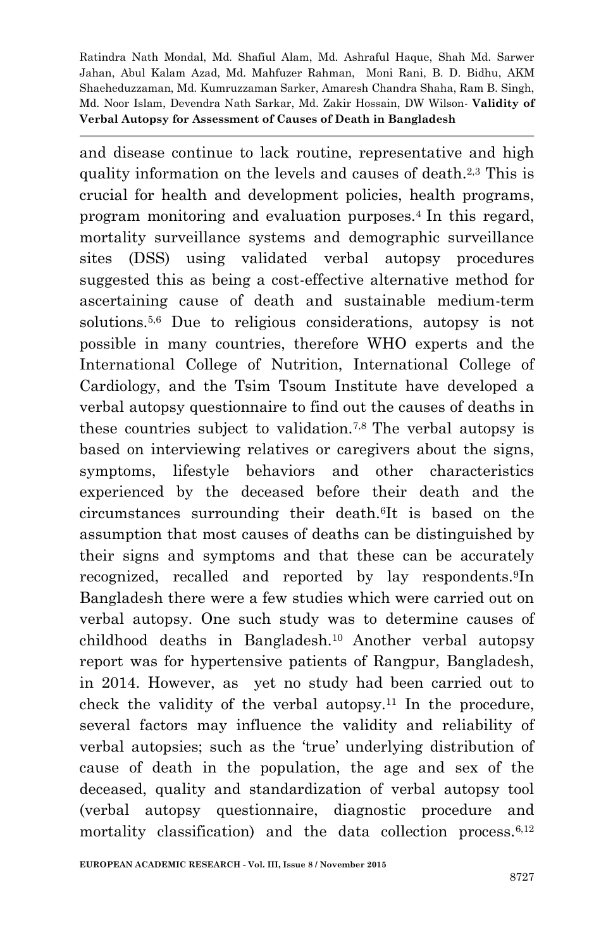and disease continue to lack routine, representative and high quality information on the levels and causes of death.2,3 This is crucial for health and development policies, health programs, program monitoring and evaluation purposes.<sup>4</sup> In this regard, mortality surveillance systems and demographic surveillance sites (DSS) using validated verbal autopsy procedures suggested this as being a cost-effective alternative method for ascertaining cause of death and sustainable medium-term solutions.5,6 Due to religious considerations, autopsy is not possible in many countries, therefore WHO experts and the International College of Nutrition, International College of Cardiology, and the Tsim Tsoum Institute have developed a verbal autopsy questionnaire to find out the causes of deaths in these countries subject to validation.7,8 The verbal autopsy is based on interviewing relatives or caregivers about the signs, symptoms, lifestyle behaviors and other characteristics experienced by the deceased before their death and the circumstances surrounding their death.6It is based on the assumption that most causes of deaths can be distinguished by their signs and symptoms and that these can be accurately recognized, recalled and reported by lay respondents.9In Bangladesh there were a few studies which were carried out on verbal autopsy. One such study was to determine causes of childhood deaths in Bangladesh.10 Another verbal autopsy report was for hypertensive patients of Rangpur, Bangladesh, in 2014. However, as yet no study had been carried out to check the validity of the verbal autopsy.<sup>11</sup> In the procedure, several factors may influence the validity and reliability of verbal autopsies; such as the "true" underlying distribution of cause of death in the population, the age and sex of the deceased, quality and standardization of verbal autopsy tool (verbal autopsy questionnaire, diagnostic procedure and mortality classification) and the data collection process. $6,12$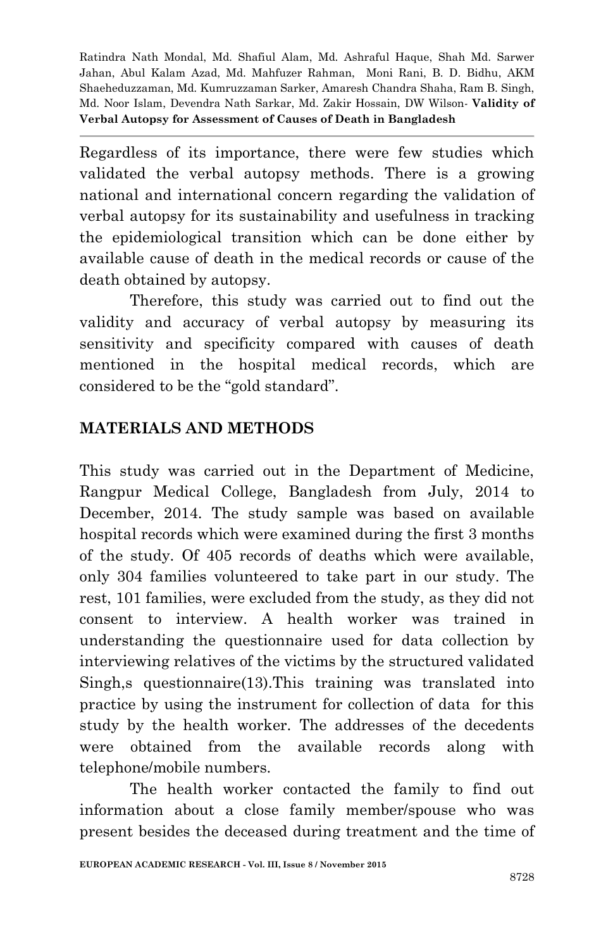Regardless of its importance, there were few studies which validated the verbal autopsy methods. There is a growing national and international concern regarding the validation of verbal autopsy for its sustainability and usefulness in tracking the epidemiological transition which can be done either by available cause of death in the medical records or cause of the death obtained by autopsy.

Therefore, this study was carried out to find out the validity and accuracy of verbal autopsy by measuring its sensitivity and specificity compared with causes of death mentioned in the hospital medical records, which are considered to be the "gold standard".

# **MATERIALS AND METHODS**

This study was carried out in the Department of Medicine, Rangpur Medical College, Bangladesh from July, 2014 to December, 2014. The study sample was based on available hospital records which were examined during the first 3 months of the study. Of 405 records of deaths which were available, only 304 families volunteered to take part in our study. The rest, 101 families, were excluded from the study, as they did not consent to interview. A health worker was trained in understanding the questionnaire used for data collection by interviewing relatives of the victims by the structured validated Singh,s questionnaire(13).This training was translated into practice by using the instrument for collection of data for this study by the health worker. The addresses of the decedents were obtained from the available records along with telephone/mobile numbers.

The health worker contacted the family to find out information about a close family member/spouse who was present besides the deceased during treatment and the time of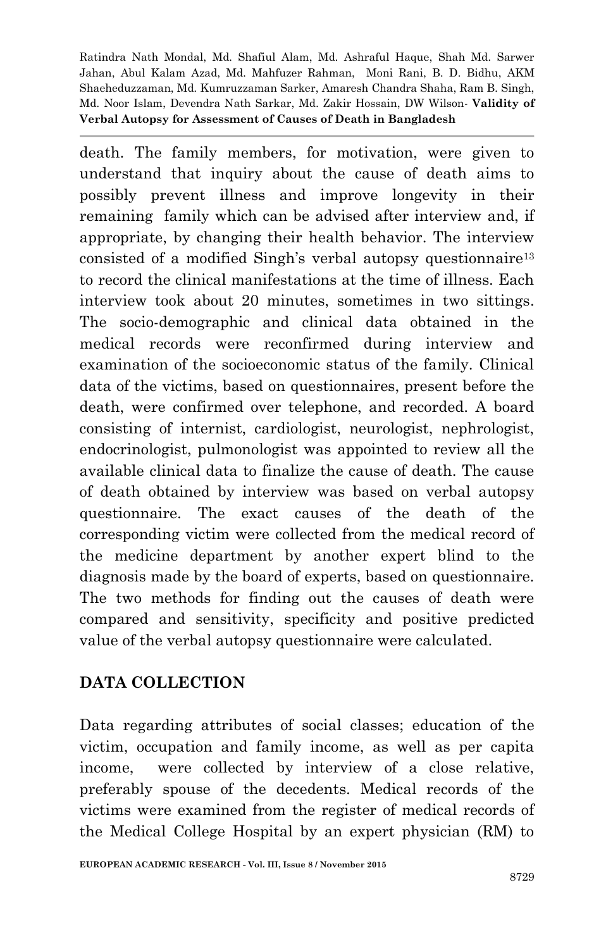death. The family members, for motivation, were given to understand that inquiry about the cause of death aims to possibly prevent illness and improve longevity in their remaining family which can be advised after interview and, if appropriate, by changing their health behavior. The interview consisted of a modified Singh's verbal autopsy questionnaire<sup>13</sup> to record the clinical manifestations at the time of illness. Each interview took about 20 minutes, sometimes in two sittings. The socio-demographic and clinical data obtained in the medical records were reconfirmed during interview and examination of the socioeconomic status of the family. Clinical data of the victims, based on questionnaires, present before the death, were confirmed over telephone, and recorded. A board consisting of internist, cardiologist, neurologist, nephrologist, endocrinologist, pulmonologist was appointed to review all the available clinical data to finalize the cause of death. The cause of death obtained by interview was based on verbal autopsy questionnaire. The exact causes of the death of the corresponding victim were collected from the medical record of the medicine department by another expert blind to the diagnosis made by the board of experts, based on questionnaire. The two methods for finding out the causes of death were compared and sensitivity, specificity and positive predicted value of the verbal autopsy questionnaire were calculated.

# **DATA COLLECTION**

Data regarding attributes of social classes; education of the victim, occupation and family income, as well as per capita income, were collected by interview of a close relative, preferably spouse of the decedents. Medical records of the victims were examined from the register of medical records of the Medical College Hospital by an expert physician (RM) to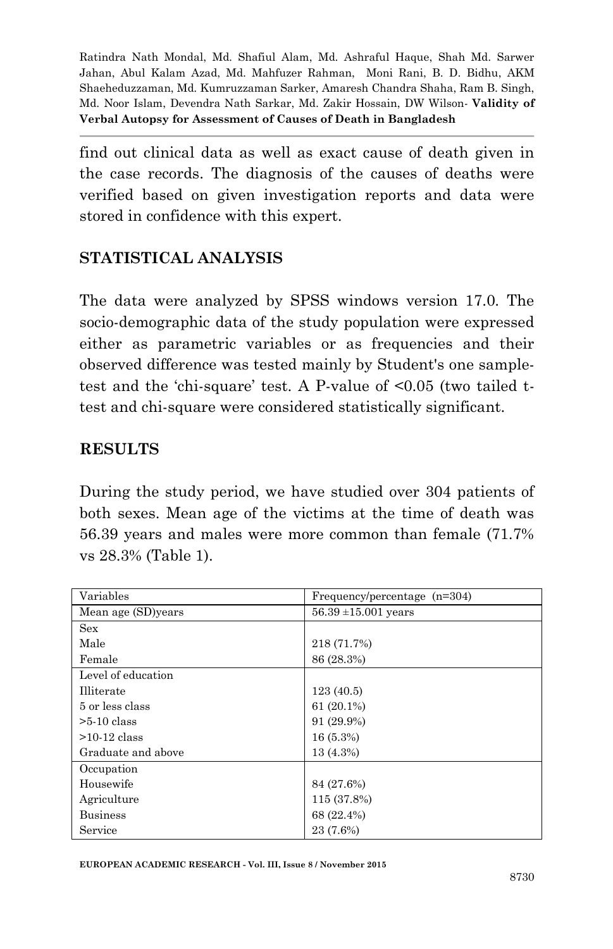find out clinical data as well as exact cause of death given in the case records. The diagnosis of the causes of deaths were verified based on given investigation reports and data were stored in confidence with this expert.

#### **STATISTICAL ANALYSIS**

The data were analyzed by SPSS windows version 17.0. The socio-demographic data of the study population were expressed either as parametric variables or as frequencies and their observed difference was tested mainly by Student's one sampletest and the "chi-square" test. A P-value of <0.05 (two tailed ttest and chi-square were considered statistically significant.

#### **RESULTS**

During the study period, we have studied over 304 patients of both sexes. Mean age of the victims at the time of death was 56.39 years and males were more common than female (71.7% vs 28.3% (Table 1).

| Variables          | Frequency/percentage $(n=304)$ |
|--------------------|--------------------------------|
| Mean age (SD)years | $56.39 \pm 15.001$ years       |
| Sex                |                                |
| Male               | 218 (71.7%)                    |
| Female             | 86 (28.3%)                     |
| Level of education |                                |
| <b>Illiterate</b>  | 123(40.5)                      |
| 5 or less class    | $61(20.1\%)$                   |
| $>5-10$ class      | 91 (29.9%)                     |
| $>10-12$ class     | 16(5.3%)                       |
| Graduate and above | 13 (4.3%)                      |
| Occupation         |                                |
| Housewife          | 84 (27.6%)                     |
| Agriculture        | 115 (37.8%)                    |
| <b>Business</b>    | 68 (22.4%)                     |
| Service            | 23 (7.6%)                      |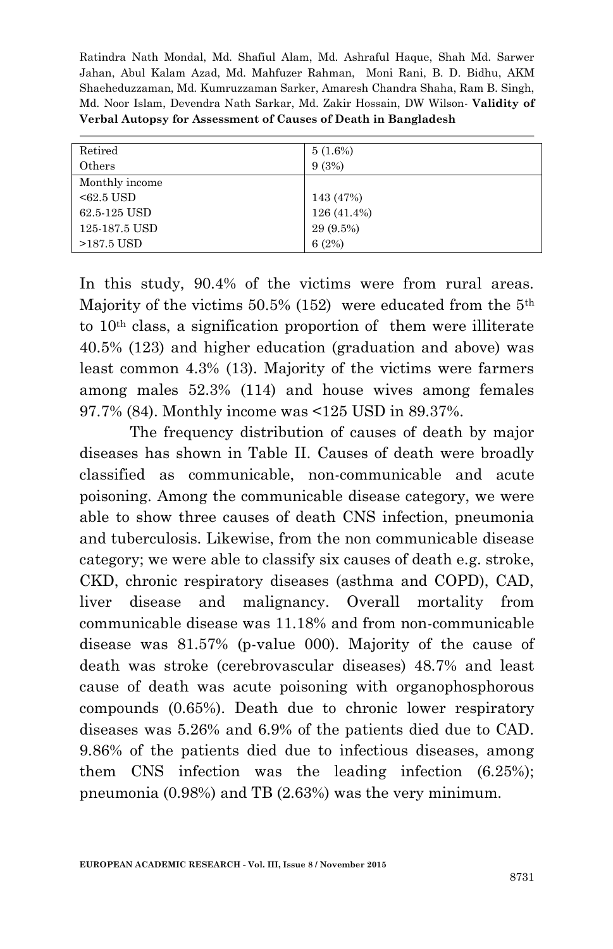| Retired        | $5(1.6\%)$  |
|----------------|-------------|
| Others         | 9(3%)       |
| Monthly income |             |
| $< 62.5$ USD   | 143 (47%)   |
| 62.5-125 USD   | 126 (41.4%) |
| 125-187.5 USD  | 29 (9.5%)   |
| $>187.5$ USD   | 6(2%)       |

In this study, 90.4% of the victims were from rural areas. Majority of the victims 50.5% (152) were educated from the  $5<sup>th</sup>$ to 10th class, a signification proportion of them were illiterate 40.5% (123) and higher education (graduation and above) was least common 4.3% (13). Majority of the victims were farmers among males 52.3% (114) and house wives among females 97.7% (84). Monthly income was <125 USD in 89.37%.

The frequency distribution of causes of death by major diseases has shown in Table II. Causes of death were broadly classified as communicable, non-communicable and acute poisoning. Among the communicable disease category, we were able to show three causes of death CNS infection, pneumonia and tuberculosis. Likewise, from the non communicable disease category; we were able to classify six causes of death e.g. stroke, CKD, chronic respiratory diseases (asthma and COPD), CAD, liver disease and malignancy. Overall mortality from communicable disease was 11.18% and from non-communicable disease was 81.57% (p-value 000). Majority of the cause of death was stroke (cerebrovascular diseases) 48.7% and least cause of death was acute poisoning with organophosphorous compounds (0.65%). Death due to chronic lower respiratory diseases was 5.26% and 6.9% of the patients died due to CAD. 9.86% of the patients died due to infectious diseases, among them CNS infection was the leading infection (6.25%); pneumonia (0.98%) and TB (2.63%) was the very minimum.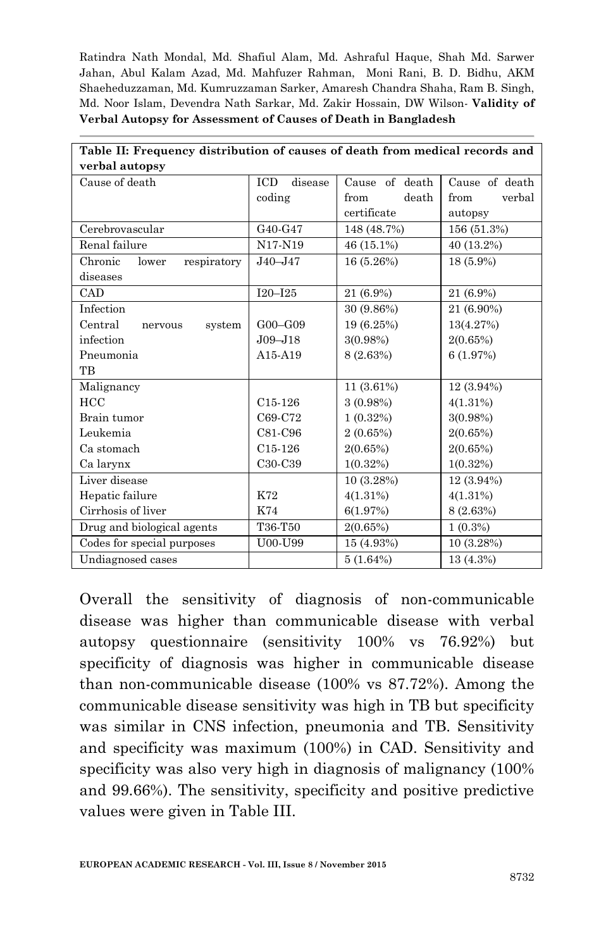| Table II: Frequency distribution of causes of death from medical records and |                       |                |                |  |
|------------------------------------------------------------------------------|-----------------------|----------------|----------------|--|
| verbal autopsy                                                               |                       |                |                |  |
| Cause of death                                                               | <b>ICD</b><br>disease | Cause of death | Cause of death |  |
|                                                                              | coding                | death<br>from  | verbal<br>from |  |
|                                                                              |                       | certificate    | autopsy        |  |
| Cerebrovascular                                                              | G40-G47               | 148 (48.7%)    | 156 (51.3%)    |  |
| Renal failure                                                                | N17-N19               | 46 (15.1%)     | 40 (13.2%)     |  |
| respiratory<br>Chronic<br>lower                                              | $J40 - J47$           | 16 (5.26%)     | 18 (5.9%)      |  |
| diseases                                                                     |                       |                |                |  |
| CAD                                                                          | $I20 - I25$           | 21 (6.9%)      | 21 (6.9%)      |  |
| Infection                                                                    |                       | 30 (9.86%)     | 21 (6.90%)     |  |
| Central<br>system<br>nervous                                                 | $G00 - G09$           | 19 (6.25%)     | 13(4.27%)      |  |
| infection                                                                    | $J09 - J18$           | $3(0.98\%)$    | 2(0.65%)       |  |
| Pneumonia                                                                    | A15-A19               | 8 (2.63%)      | 6(1.97%)       |  |
| TB                                                                           |                       |                |                |  |
| Malignancy                                                                   |                       | 11 (3.61%)     | $12(3.94\%)$   |  |
| <b>HCC</b>                                                                   | $C15-126$             | 3(0.98%)       | 4(1.31%)       |  |
| Brain tumor                                                                  | C69-C72               | 1(0.32%)       | 3(0.98%)       |  |
| Leukemia                                                                     | C81-C96               | 2(0.65%)       | 2(0.65%)       |  |
| Ca stomach                                                                   | C <sub>15</sub> -126  | 2(0.65%)       | 2(0.65%)       |  |
| Ca larynx                                                                    | C30-C39               | $1(0.32\%)$    | $1(0.32\%)$    |  |
| Liver disease                                                                |                       | 10 (3.28%)     | 12 (3.94%)     |  |
| Hepatic failure                                                              | K72                   | 4(1.31%)       | 4(1.31%)       |  |
| Cirrhosis of liver                                                           | K74                   | 6(1.97%)       | 8 (2.63%)      |  |
| Drug and biological agents                                                   | T36-T50               | 2(0.65%)       | $1(0.3\%)$     |  |
| Codes for special purposes                                                   | U00-U99               | 15 (4.93%)     | 10(3.28%)      |  |
| Undiagnosed cases                                                            |                       | 5(1.64%)       | 13 (4.3%)      |  |

Overall the sensitivity of diagnosis of non-communicable disease was higher than communicable disease with verbal autopsy questionnaire (sensitivity 100% vs 76.92%) but specificity of diagnosis was higher in communicable disease than non-communicable disease (100% vs 87.72%). Among the communicable disease sensitivity was high in TB but specificity was similar in CNS infection, pneumonia and TB. Sensitivity and specificity was maximum (100%) in CAD. Sensitivity and specificity was also very high in diagnosis of malignancy (100% and 99.66%). The sensitivity, specificity and positive predictive values were given in Table III.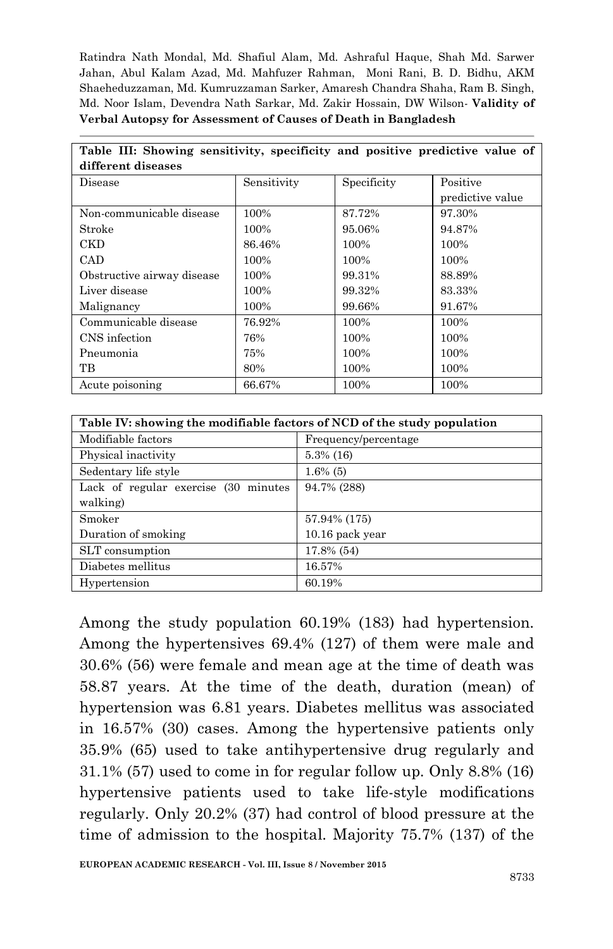| Table III: Showing sensitivity, specificity and positive predictive value of |             |             |                  |  |
|------------------------------------------------------------------------------|-------------|-------------|------------------|--|
| different diseases                                                           |             |             |                  |  |
| Disease                                                                      | Sensitivity | Specificity | Positive         |  |
|                                                                              |             |             | predictive value |  |
| Non-communicable disease                                                     | 100%        | 87.72%      | 97.30%           |  |
| Stroke                                                                       | 100%        | 95.06%      | 94.87%           |  |
| <b>CKD</b>                                                                   | 86.46%      | 100%        | 100%             |  |
| <b>CAD</b>                                                                   | 100%        | 100%        | 100%             |  |
| Obstructive airway disease                                                   | 100%        | 99.31%      | 88.89%           |  |
| Liver disease                                                                | 100%        | 99.32%      | 83.33%           |  |
| Malignancy                                                                   | 100%        | 99.66%      | 91.67%           |  |
| Communicable disease                                                         | 76.92%      | 100%        | 100%             |  |
| CNS infection                                                                | 76%         | 100%        | 100%             |  |
| Pneumonia                                                                    | 75%         | 100%        | 100%             |  |
| TВ                                                                           | 80%         | 100%        | 100%             |  |
| Acute poisoning                                                              | 66.67%      | 100%        | 100%             |  |

| Table IV: showing the modifiable factors of NCD of the study population |                      |  |  |
|-------------------------------------------------------------------------|----------------------|--|--|
| Modifiable factors                                                      | Frequency/percentage |  |  |
| Physical inactivity                                                     | $5.3\%$ (16)         |  |  |
| Sedentary life style                                                    | $1.6\%$ (5)          |  |  |
| Lack of regular exercise (30 minutes)                                   | 94.7% (288)          |  |  |
| walking)                                                                |                      |  |  |
| Smoker                                                                  | 57.94% (175)         |  |  |
| Duration of smoking                                                     | 10.16 pack year      |  |  |
| SLT consumption                                                         | 17.8% (54)           |  |  |
| Diabetes mellitus                                                       | 16.57%               |  |  |
| Hypertension                                                            | 60.19%               |  |  |

Among the study population 60.19% (183) had hypertension. Among the hypertensives 69.4% (127) of them were male and 30.6% (56) were female and mean age at the time of death was 58.87 years. At the time of the death, duration (mean) of hypertension was 6.81 years. Diabetes mellitus was associated in 16.57% (30) cases. Among the hypertensive patients only 35.9% (65) used to take antihypertensive drug regularly and 31.1% (57) used to come in for regular follow up. Only 8.8% (16) hypertensive patients used to take life-style modifications regularly. Only 20.2% (37) had control of blood pressure at the time of admission to the hospital. Majority 75.7% (137) of the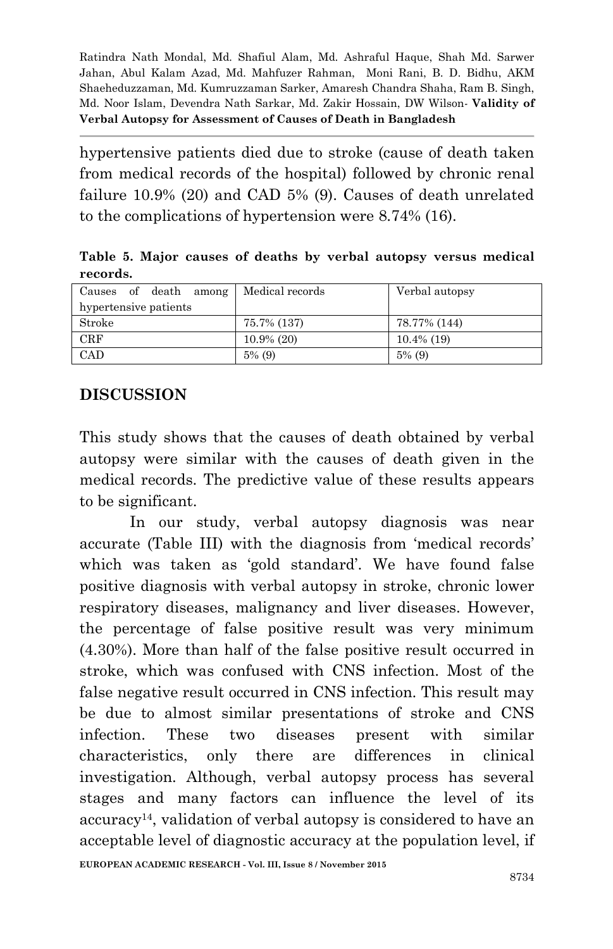hypertensive patients died due to stroke (cause of death taken from medical records of the hospital) followed by chronic renal failure 10.9% (20) and CAD 5% (9). Causes of death unrelated to the complications of hypertension were 8.74% (16).

**Table 5. Major causes of deaths by verbal autopsy versus medical records.**

| Causes of death among | Medical records | Verbal autopsy |
|-----------------------|-----------------|----------------|
| hypertensive patients |                 |                |
| Stroke                | 75.7% (137)     | 78.77% (144)   |
| $_{\rm CRF}$          | $10.9\%$ (20)   | $10.4\%$ (19)  |
| CAD                   | $5\%$ (9)       | $5\%$ (9)      |

#### **DISCUSSION**

This study shows that the causes of death obtained by verbal autopsy were similar with the causes of death given in the medical records. The predictive value of these results appears to be significant.

In our study, verbal autopsy diagnosis was near accurate (Table III) with the diagnosis from "medical records" which was taken as 'gold standard'. We have found false positive diagnosis with verbal autopsy in stroke, chronic lower respiratory diseases, malignancy and liver diseases. However, the percentage of false positive result was very minimum (4.30%). More than half of the false positive result occurred in stroke, which was confused with CNS infection. Most of the false negative result occurred in CNS infection. This result may be due to almost similar presentations of stroke and CNS infection. These two diseases present with similar characteristics, only there are differences in clinical investigation. Although, verbal autopsy process has several stages and many factors can influence the level of its accuracy14, validation of verbal autopsy is considered to have an acceptable level of diagnostic accuracy at the population level, if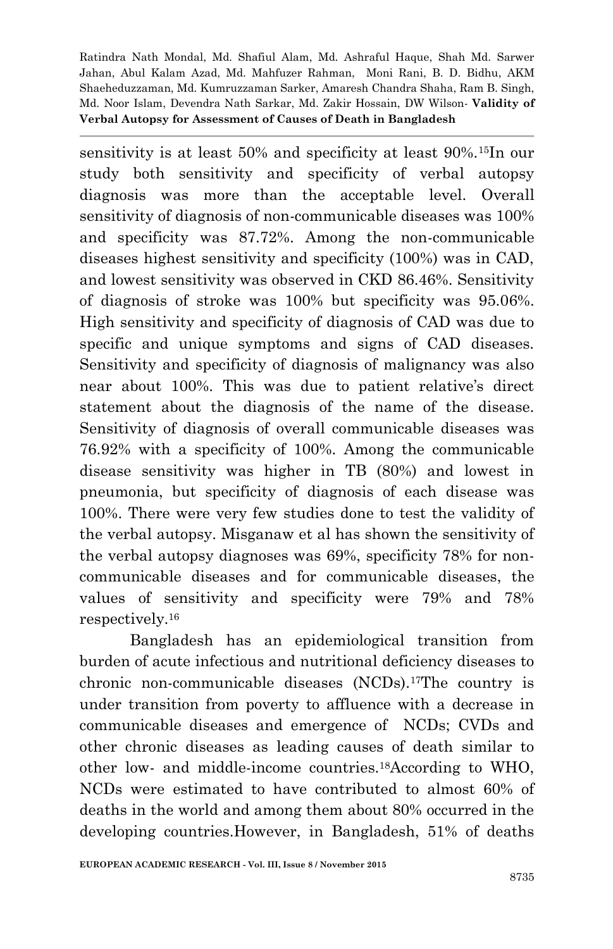sensitivity is at least 50% and specificity at least 90%.15In our study both sensitivity and specificity of verbal autopsy diagnosis was more than the acceptable level. Overall sensitivity of diagnosis of non-communicable diseases was 100% and specificity was 87.72%. Among the non-communicable diseases highest sensitivity and specificity (100%) was in CAD, and lowest sensitivity was observed in CKD 86.46%. Sensitivity of diagnosis of stroke was 100% but specificity was 95.06%. High sensitivity and specificity of diagnosis of CAD was due to specific and unique symptoms and signs of CAD diseases. Sensitivity and specificity of diagnosis of malignancy was also near about 100%. This was due to patient relative's direct statement about the diagnosis of the name of the disease. Sensitivity of diagnosis of overall communicable diseases was 76.92% with a specificity of 100%. Among the communicable disease sensitivity was higher in TB (80%) and lowest in pneumonia, but specificity of diagnosis of each disease was 100%. There were very few studies done to test the validity of the verbal autopsy. Misganaw et al has shown the sensitivity of the verbal autopsy diagnoses was 69%, specificity 78% for noncommunicable diseases and for communicable diseases, the values of sensitivity and specificity were 79% and 78% respectively.<sup>16</sup>

Bangladesh has an epidemiological transition from burden of acute infectious and nutritional deficiency diseases to chronic non-communicable diseases (NCDs).17The country is under transition from poverty to affluence with a decrease in communicable diseases and emergence of NCDs; CVDs and other chronic diseases as leading causes of death similar to other low- and middle-income countries.18According to WHO, NCDs were estimated to have contributed to almost 60% of deaths in the world and among them about 80% occurred in the developing countries.However, in Bangladesh, 51% of deaths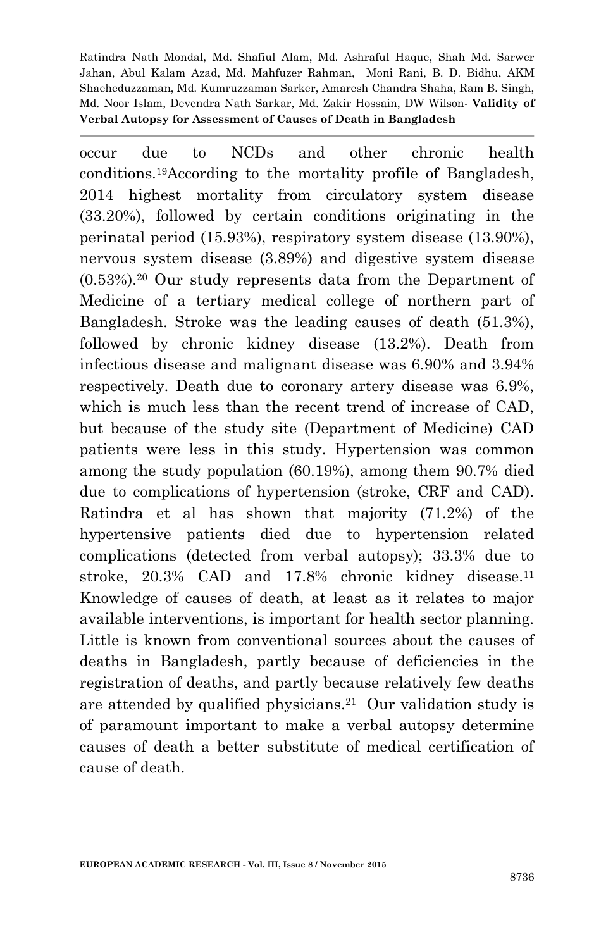occur due to NCDs and other chronic health conditions.19According to the mortality profile of Bangladesh, 2014 highest mortality from circulatory system disease (33.20%), followed by certain conditions originating in the perinatal period (15.93%), respiratory system disease (13.90%), nervous system disease (3.89%) and digestive system disease (0.53%).<sup>20</sup> Our study represents data from the Department of Medicine of a tertiary medical college of northern part of Bangladesh. Stroke was the leading causes of death (51.3%), followed by chronic kidney disease (13.2%). Death from infectious disease and malignant disease was 6.90% and 3.94% respectively. Death due to coronary artery disease was 6.9%, which is much less than the recent trend of increase of CAD, but because of the study site (Department of Medicine) CAD patients were less in this study. Hypertension was common among the study population (60.19%), among them 90.7% died due to complications of hypertension (stroke, CRF and CAD). Ratindra et al has shown that majority (71.2%) of the hypertensive patients died due to hypertension related complications (detected from verbal autopsy); 33.3% due to stroke, 20.3% CAD and 17.8% chronic kidney disease.<sup>11</sup> Knowledge of causes of death, at least as it relates to major available interventions, is important for health sector planning. Little is known from conventional sources about the causes of deaths in Bangladesh, partly because of deficiencies in the registration of deaths, and partly because relatively few deaths are attended by qualified physicians.<sup>21</sup> Our validation study is of paramount important to make a verbal autopsy determine causes of death a better substitute of medical certification of cause of death.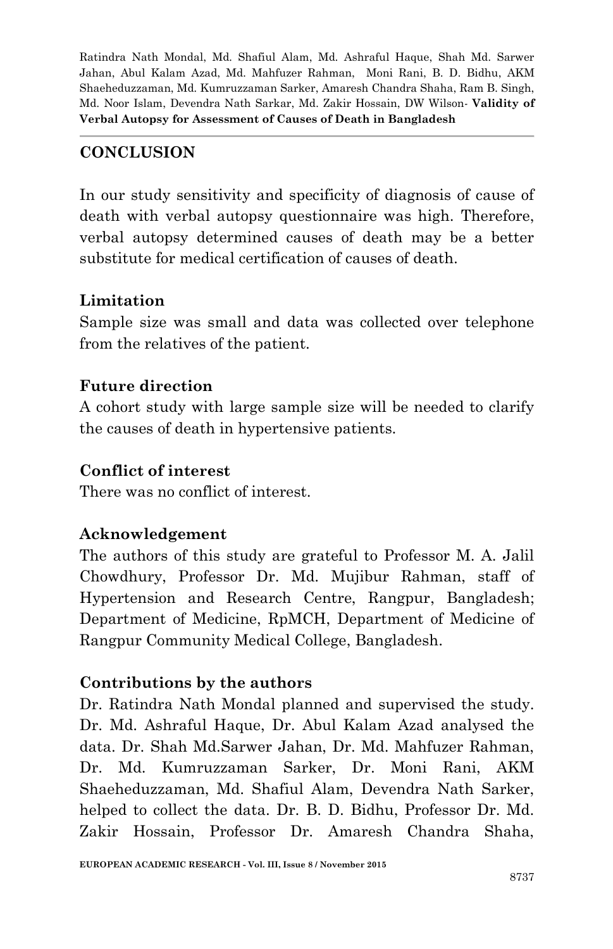# **CONCLUSION**

In our study sensitivity and specificity of diagnosis of cause of death with verbal autopsy questionnaire was high. Therefore, verbal autopsy determined causes of death may be a better substitute for medical certification of causes of death.

#### **Limitation**

Sample size was small and data was collected over telephone from the relatives of the patient.

# **Future direction**

A cohort study with large sample size will be needed to clarify the causes of death in hypertensive patients.

### **Conflict of interest**

There was no conflict of interest.

# **Acknowledgement**

The authors of this study are grateful to Professor M. A. Jalil Chowdhury, Professor Dr. Md. Mujibur Rahman, staff of Hypertension and Research Centre, Rangpur, Bangladesh; Department of Medicine, RpMCH, Department of Medicine of Rangpur Community Medical College, Bangladesh.

# **Contributions by the authors**

Dr. Ratindra Nath Mondal planned and supervised the study. Dr. Md. Ashraful Haque, Dr. Abul Kalam Azad analysed the data. Dr. Shah Md.Sarwer Jahan, Dr. Md. Mahfuzer Rahman, Dr. Md. Kumruzzaman Sarker, Dr. Moni Rani, AKM Shaeheduzzaman, Md. Shafiul Alam, Devendra Nath Sarker, helped to collect the data. Dr. B. D. Bidhu, Professor Dr. Md. Zakir Hossain, Professor Dr. Amaresh Chandra Shaha,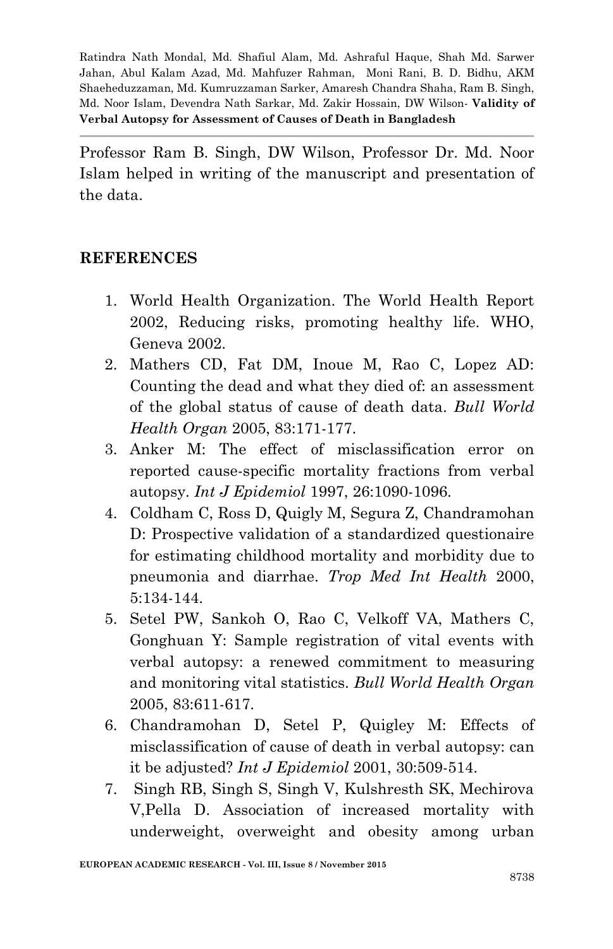Professor Ram B. Singh, DW Wilson, Professor Dr. Md. Noor Islam helped in writing of the manuscript and presentation of the data.

#### **REFERENCES**

- 1. World Health Organization. The World Health Report 2002, Reducing risks, promoting healthy life. WHO, Geneva 2002.
- 2. Mathers CD, Fat DM, Inoue M, Rao C, Lopez AD: Counting the dead and what they died of: an assessment of the global status of cause of death data. *Bull World Health Organ* 2005, 83:171-177.
- 3. Anker M: The effect of misclassification error on reported cause-specific mortality fractions from verbal autopsy. *Int J Epidemiol* 1997, 26:1090-1096.
- 4. Coldham C, Ross D, Quigly M, Segura Z, Chandramohan D: Prospective validation of a standardized questionaire for estimating childhood mortality and morbidity due to pneumonia and diarrhae. *Trop Med Int Health* 2000, 5:134-144.
- 5. Setel PW, Sankoh O, Rao C, Velkoff VA, Mathers C, Gonghuan Y: Sample registration of vital events with verbal autopsy: a renewed commitment to measuring and monitoring vital statistics. *Bull World Health Organ* 2005, 83:611-617.
- 6. Chandramohan D, Setel P, Quigley M: Effects of misclassification of cause of death in verbal autopsy: can it be adjusted? *Int J Epidemiol* 2001, 30:509-514.
- 7. Singh RB, Singh S, Singh V, Kulshresth SK, Mechirova V,Pella D. Association of increased mortality with underweight, overweight and obesity among urban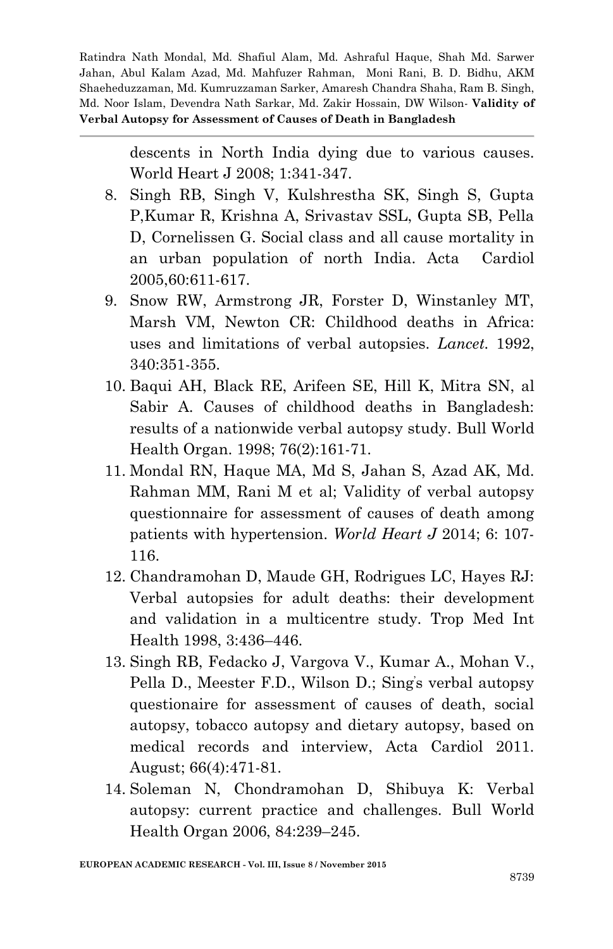> descents in North India dying due to various causes. World Heart J 2008; 1:341-347.

- 8. Singh RB, Singh V, Kulshrestha SK, Singh S, Gupta P,Kumar R, Krishna A, Srivastav SSL, Gupta SB, Pella D, Cornelissen G. Social class and all cause mortality in an urban population of north India. Acta Cardiol 2005,60:611-617.
- 9. Snow RW, Armstrong JR, Forster D, Winstanley MT, Marsh VM, Newton CR: Childhood deaths in Africa: uses and limitations of verbal autopsies. *Lancet.* 1992, 340:351-355.
- 10. [Baqui AH,](http://www.ncbi.nlm.nih.gov/pubmed/?term=Baqui%20AH%5BAuthor%5D&cauthor=true&cauthor_uid=9648357) [Black RE,](http://www.ncbi.nlm.nih.gov/pubmed/?term=Black%20RE%5BAuthor%5D&cauthor=true&cauthor_uid=9648357) [Arifeen SE,](http://www.ncbi.nlm.nih.gov/pubmed/?term=Arifeen%20SE%5BAuthor%5D&cauthor=true&cauthor_uid=9648357) [Hill K,](http://www.ncbi.nlm.nih.gov/pubmed/?term=Hill%20K%5BAuthor%5D&cauthor=true&cauthor_uid=9648357) [Mitra SN,](http://www.ncbi.nlm.nih.gov/pubmed/?term=Mitra%20SN%5BAuthor%5D&cauthor=true&cauthor_uid=9648357) al Sabir A. Causes of childhood deaths in Bangladesh: results of a nationwide verbal autopsy study. [Bull World](http://www.ncbi.nlm.nih.gov/pubmed/9648357)  [Health Organ.](http://www.ncbi.nlm.nih.gov/pubmed/9648357) 1998; 76(2):161-71.
- 11. Mondal RN, Haque MA, Md S, Jahan S, Azad AK, Md. Rahman MM, Rani M et al; Validity of verbal autopsy questionnaire for assessment of causes of death among patients with hypertension. *World Heart J* 2014; 6: 107- 116.
- 12. Chandramohan D, Maude GH, Rodrigues LC, Hayes RJ: Verbal autopsies for adult deaths: their development and validation in a multicentre study. Trop Med Int Health 1998, 3:436–446.
- 13. Singh RB, Fedacko J, Vargova V., Kumar A., Mohan V., Pella D., Meester F.D., Wilson D.; Sing's verbal autopsy questionaire for assessment of causes of death, social autopsy, tobacco autopsy and dietary autopsy, based on medical records and interview, Acta Cardiol 2011. August; 66(4):471-81.
- 14. Soleman N, Chondramohan D, Shibuya K: Verbal autopsy: current practice and challenges. Bull World Health Organ 2006, 84:239–245.